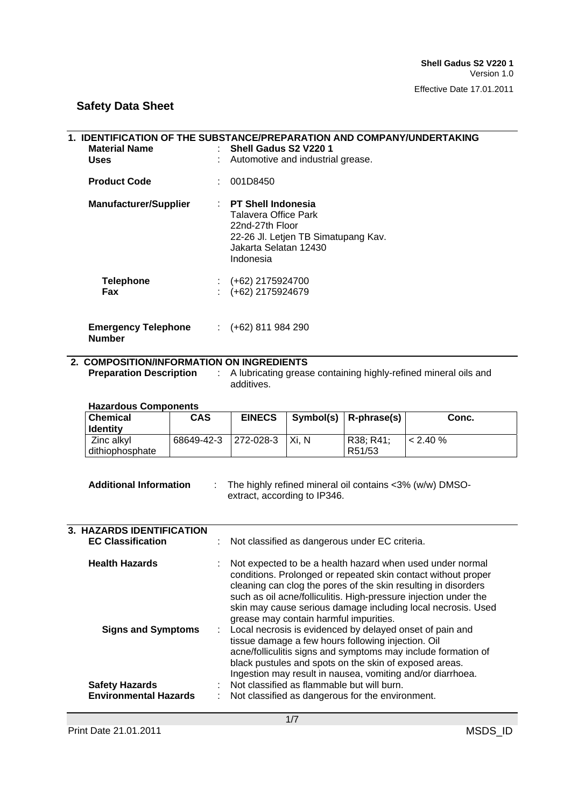## **1. IDENTIFICATION OF THE SUBSTANCE/PREPARATION AND COMPANY/UNDERTAKING Material Name** <br> **1998 1998 1998 1998 1999 1999 1999 1999 1999 1999 1999 1999 1999 1999 1999 1999 1999 1999 1999 1999 1999 1999 1999 1999 1999 1999 1999 1999 1999 Uses** : Automotive and industrial grease. **Product Code** : 001D8450 **Manufacturer/Supplier** : **PT Shell Indonesia**  Talavera Office Park 22nd-27th Floor 22-26 Jl. Letjen TB Simatupang Kav. Jakarta Selatan 12430 Indonesia **Telephone** : (+62) 2175924700<br>**Fax** : (+62) 2175924679 **Fax** : (+62) 2175924679 **Emergency Telephone**  : (+62) 811 984 290

### **2. COMPOSITION/INFORMATION ON INGREDIENTS**

**Number**

**Preparation Description : A lubricating grease containing highly-refined mineral oils and** additives.

### **Hazardous Components**

| <b>Chemical</b><br><b>Identity</b> | CAS                  | <b>EINECS</b> |         | Symbol(s) $\vert$ R-phrase(s) | Conc.      |
|------------------------------------|----------------------|---------------|---------|-------------------------------|------------|
| Zinc alkyl<br>dithiophosphate      | 68649-42-3 272-028-3 |               | l Xi. N | <u> R38; R41;</u><br>R51/53   | $< 2.40\%$ |

#### **Additional Information** : The highly refined mineral oil contains <3% (w/w) DMSOextract, according to IP346.

| <b>3. HAZARDS IDENTIFICATION</b><br><b>EC Classification</b> | : Not classified as dangerous under EC criteria.                                                                                                                                                                                                                                                                                                                             |
|--------------------------------------------------------------|------------------------------------------------------------------------------------------------------------------------------------------------------------------------------------------------------------------------------------------------------------------------------------------------------------------------------------------------------------------------------|
| <b>Health Hazards</b>                                        | : Not expected to be a health hazard when used under normal<br>conditions. Prolonged or repeated skin contact without proper<br>cleaning can clog the pores of the skin resulting in disorders<br>such as oil acne/folliculitis. High-pressure injection under the<br>skin may cause serious damage including local necrosis. Used<br>grease may contain harmful impurities. |
| <b>Signs and Symptoms</b>                                    | Local necrosis is evidenced by delayed onset of pain and<br>tissue damage a few hours following injection. Oil<br>acne/folliculitis signs and symptoms may include formation of<br>black pustules and spots on the skin of exposed areas.<br>Ingestion may result in nausea, vomiting and/or diarrhoea.                                                                      |
| <b>Safety Hazards</b><br><b>Environmental Hazards</b>        | Not classified as flammable but will burn.<br>Not classified as dangerous for the environment.                                                                                                                                                                                                                                                                               |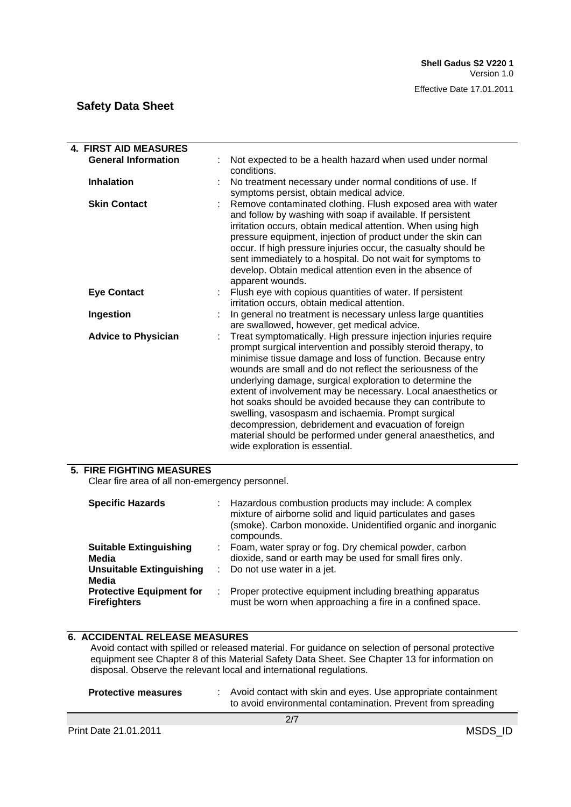| <b>4. FIRST AID MEASURES</b> |                                                                                                                                                                                                                                                                                                                                                                                                                                                                                                                                                                                                                                                                         |
|------------------------------|-------------------------------------------------------------------------------------------------------------------------------------------------------------------------------------------------------------------------------------------------------------------------------------------------------------------------------------------------------------------------------------------------------------------------------------------------------------------------------------------------------------------------------------------------------------------------------------------------------------------------------------------------------------------------|
| <b>General Information</b>   | Not expected to be a health hazard when used under normal<br>conditions.                                                                                                                                                                                                                                                                                                                                                                                                                                                                                                                                                                                                |
| <b>Inhalation</b>            | No treatment necessary under normal conditions of use. If<br>symptoms persist, obtain medical advice.                                                                                                                                                                                                                                                                                                                                                                                                                                                                                                                                                                   |
| <b>Skin Contact</b>          | Remove contaminated clothing. Flush exposed area with water<br>and follow by washing with soap if available. If persistent<br>irritation occurs, obtain medical attention. When using high<br>pressure equipment, injection of product under the skin can<br>occur. If high pressure injuries occur, the casualty should be<br>sent immediately to a hospital. Do not wait for symptoms to<br>develop. Obtain medical attention even in the absence of<br>apparent wounds.                                                                                                                                                                                              |
| <b>Eye Contact</b>           | Flush eye with copious quantities of water. If persistent<br>irritation occurs, obtain medical attention.                                                                                                                                                                                                                                                                                                                                                                                                                                                                                                                                                               |
| Ingestion                    | In general no treatment is necessary unless large quantities<br>are swallowed, however, get medical advice.                                                                                                                                                                                                                                                                                                                                                                                                                                                                                                                                                             |
| <b>Advice to Physician</b>   | Treat symptomatically. High pressure injection injuries require<br>prompt surgical intervention and possibly steroid therapy, to<br>minimise tissue damage and loss of function. Because entry<br>wounds are small and do not reflect the seriousness of the<br>underlying damage, surgical exploration to determine the<br>extent of involvement may be necessary. Local anaesthetics or<br>hot soaks should be avoided because they can contribute to<br>swelling, vasospasm and ischaemia. Prompt surgical<br>decompression, debridement and evacuation of foreign<br>material should be performed under general anaesthetics, and<br>wide exploration is essential. |

### **5. FIRE FIGHTING MEASURES**

Clear fire area of all non-emergency personnel.

| <b>Specific Hazards</b>                                                            |    | : Hazardous combustion products may include: A complex<br>mixture of airborne solid and liquid particulates and gases<br>(smoke). Carbon monoxide. Unidentified organic and inorganic<br>compounds. |
|------------------------------------------------------------------------------------|----|-----------------------------------------------------------------------------------------------------------------------------------------------------------------------------------------------------|
| <b>Suitable Extinguishing</b><br>Media<br><b>Unsuitable Extinguishing</b><br>Media | t. | Foam, water spray or fog. Dry chemical powder, carbon<br>dioxide, sand or earth may be used for small fires only.<br>: Do not use water in a jet.                                                   |
| <b>Protective Equipment for</b><br><b>Firefighters</b>                             |    | : Proper protective equipment including breathing apparatus<br>must be worn when approaching a fire in a confined space.                                                                            |

### **6. ACCIDENTAL RELEASE MEASURES**

Avoid contact with spilled or released material. For guidance on selection of personal protective equipment see Chapter 8 of this Material Safety Data Sheet. See Chapter 13 for information on disposal. Observe the relevant local and international regulations.

| <b>Protective measures</b>   | Avoid contact with skin and eyes. Use appropriate containment<br>to avoid environmental contamination. Prevent from spreading |         |
|------------------------------|-------------------------------------------------------------------------------------------------------------------------------|---------|
|                              | 2/7                                                                                                                           |         |
| <b>Print Date 21.01.2011</b> |                                                                                                                               | MSDS ID |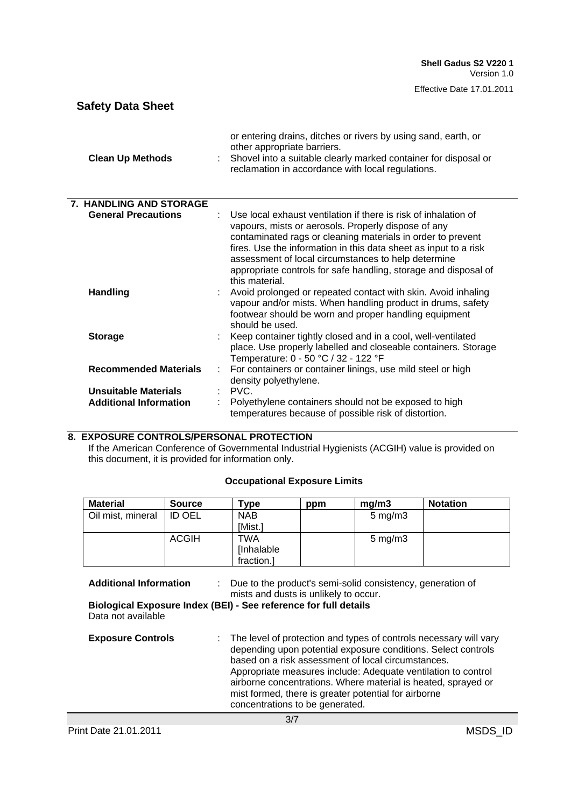| <b>Safety Data Sheet</b>                      |                                                                                                                                                                                                                                                                                                                                                                                                                                                                        |
|-----------------------------------------------|------------------------------------------------------------------------------------------------------------------------------------------------------------------------------------------------------------------------------------------------------------------------------------------------------------------------------------------------------------------------------------------------------------------------------------------------------------------------|
| <b>Clean Up Methods</b>                       | or entering drains, ditches or rivers by using sand, earth, or<br>other appropriate barriers.<br>Shovel into a suitable clearly marked container for disposal or<br>reclamation in accordance with local regulations.                                                                                                                                                                                                                                                  |
| 7. HANDLING AND STORAGE                       |                                                                                                                                                                                                                                                                                                                                                                                                                                                                        |
| <b>General Precautions</b><br><b>Handling</b> | Use local exhaust ventilation if there is risk of inhalation of<br>vapours, mists or aerosols. Properly dispose of any<br>contaminated rags or cleaning materials in order to prevent<br>fires. Use the information in this data sheet as input to a risk<br>assessment of local circumstances to help determine<br>appropriate controls for safe handling, storage and disposal of<br>this material.<br>Avoid prolonged or repeated contact with skin. Avoid inhaling |
|                                               | vapour and/or mists. When handling product in drums, safety<br>footwear should be worn and proper handling equipment<br>should be used.                                                                                                                                                                                                                                                                                                                                |
| <b>Storage</b>                                | Keep container tightly closed and in a cool, well-ventilated<br>place. Use properly labelled and closeable containers. Storage<br>Temperature: 0 - 50 °C / 32 - 122 °F                                                                                                                                                                                                                                                                                                 |
| <b>Recommended Materials</b>                  | For containers or container linings, use mild steel or high<br>density polyethylene.                                                                                                                                                                                                                                                                                                                                                                                   |
| <b>Unsuitable Materials</b>                   | PVC.                                                                                                                                                                                                                                                                                                                                                                                                                                                                   |
| <b>Additional Information</b>                 | Polyethylene containers should not be exposed to high<br>temperatures because of possible risk of distortion.                                                                                                                                                                                                                                                                                                                                                          |

### **8. EXPOSURE CONTROLS/PERSONAL PROTECTION**

If the American Conference of Governmental Industrial Hygienists (ACGIH) value is provided on this document, it is provided for information only.

### **Occupational Exposure Limits**

| <b>Material</b>   | <b>Source</b> | <b>Type</b> | ppm | mg/m3              | <b>Notation</b> |
|-------------------|---------------|-------------|-----|--------------------|-----------------|
| Oil mist, mineral | ID OEL        | <b>NAB</b>  |     | $5 \text{ mg/m}$ 3 |                 |
|                   |               | [Mist.]     |     |                    |                 |
|                   | <b>ACGIH</b>  | <b>TWA</b>  |     | $5 \text{ mg/m}$ 3 |                 |
|                   |               | [Inhalable  |     |                    |                 |
|                   |               | fraction.]  |     |                    |                 |

| <b>Additional Information</b> | Due to the product's semi-solid consistency, generation of<br>mists and dusts is unlikely to occur.                                                                                                                                                                                                                                                                                                                     |
|-------------------------------|-------------------------------------------------------------------------------------------------------------------------------------------------------------------------------------------------------------------------------------------------------------------------------------------------------------------------------------------------------------------------------------------------------------------------|
| Data not available            | Biological Exposure Index (BEI) - See reference for full details                                                                                                                                                                                                                                                                                                                                                        |
| <b>Exposure Controls</b>      | : The level of protection and types of controls necessary will vary<br>depending upon potential exposure conditions. Select controls<br>based on a risk assessment of local circumstances.<br>Appropriate measures include: Adequate ventilation to control<br>airborne concentrations. Where material is heated, sprayed or<br>mist formed, there is greater potential for airborne<br>concentrations to be generated. |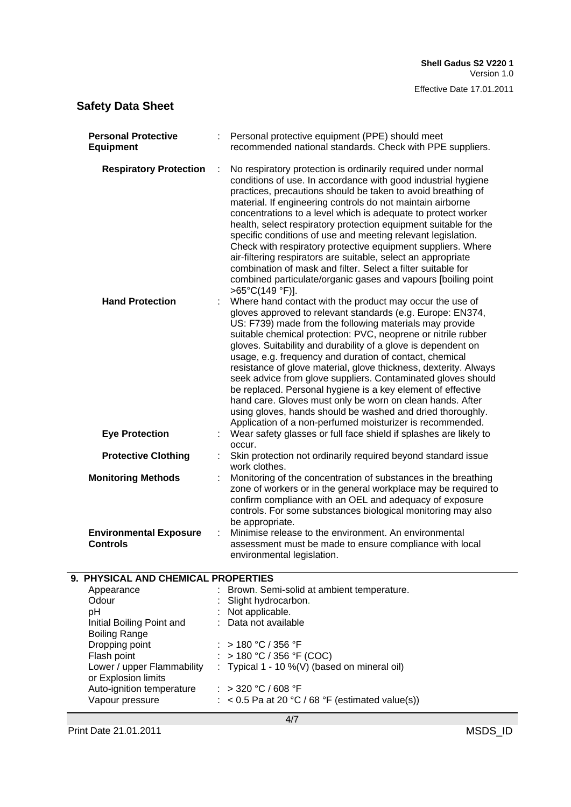| <b>Personal Protective</b><br><b>Equipment</b>    |   | Personal protective equipment (PPE) should meet<br>recommended national standards. Check with PPE suppliers.                                                                                                                                                                                                                                                                                                                                                                                                                                                                                                                                                                                                                                                              |
|---------------------------------------------------|---|---------------------------------------------------------------------------------------------------------------------------------------------------------------------------------------------------------------------------------------------------------------------------------------------------------------------------------------------------------------------------------------------------------------------------------------------------------------------------------------------------------------------------------------------------------------------------------------------------------------------------------------------------------------------------------------------------------------------------------------------------------------------------|
| <b>Respiratory Protection</b>                     | ÷ | No respiratory protection is ordinarily required under normal<br>conditions of use. In accordance with good industrial hygiene<br>practices, precautions should be taken to avoid breathing of<br>material. If engineering controls do not maintain airborne<br>concentrations to a level which is adequate to protect worker<br>health, select respiratory protection equipment suitable for the<br>specific conditions of use and meeting relevant legislation.<br>Check with respiratory protective equipment suppliers. Where<br>air-filtering respirators are suitable, select an appropriate<br>combination of mask and filter. Select a filter suitable for<br>combined particulate/organic gases and vapours [boiling point<br>$>65^{\circ}C(149^{\circ}F)$ ].    |
| <b>Hand Protection</b>                            |   | Where hand contact with the product may occur the use of<br>gloves approved to relevant standards (e.g. Europe: EN374,<br>US: F739) made from the following materials may provide<br>suitable chemical protection: PVC, neoprene or nitrile rubber<br>gloves. Suitability and durability of a glove is dependent on<br>usage, e.g. frequency and duration of contact, chemical<br>resistance of glove material, glove thickness, dexterity. Always<br>seek advice from glove suppliers. Contaminated gloves should<br>be replaced. Personal hygiene is a key element of effective<br>hand care. Gloves must only be worn on clean hands. After<br>using gloves, hands should be washed and dried thoroughly.<br>Application of a non-perfumed moisturizer is recommended. |
| <b>Eye Protection</b>                             |   | Wear safety glasses or full face shield if splashes are likely to<br>occur.                                                                                                                                                                                                                                                                                                                                                                                                                                                                                                                                                                                                                                                                                               |
| <b>Protective Clothing</b>                        |   | Skin protection not ordinarily required beyond standard issue<br>work clothes.                                                                                                                                                                                                                                                                                                                                                                                                                                                                                                                                                                                                                                                                                            |
| <b>Monitoring Methods</b>                         |   | Monitoring of the concentration of substances in the breathing<br>zone of workers or in the general workplace may be required to<br>confirm compliance with an OEL and adequacy of exposure<br>controls. For some substances biological monitoring may also<br>be appropriate.                                                                                                                                                                                                                                                                                                                                                                                                                                                                                            |
| <b>Environmental Exposure</b><br><b>Controls</b>  |   | Minimise release to the environment. An environmental<br>assessment must be made to ensure compliance with local<br>environmental legislation.                                                                                                                                                                                                                                                                                                                                                                                                                                                                                                                                                                                                                            |
|                                                   |   |                                                                                                                                                                                                                                                                                                                                                                                                                                                                                                                                                                                                                                                                                                                                                                           |
| 9. PHYSICAL AND CHEMICAL PROPERTIES<br>Appearance |   | Brown. Semi-solid at ambient temperature.                                                                                                                                                                                                                                                                                                                                                                                                                                                                                                                                                                                                                                                                                                                                 |
| Odour                                             |   | Slight hydrocarbon.                                                                                                                                                                                                                                                                                                                                                                                                                                                                                                                                                                                                                                                                                                                                                       |
| pH                                                |   | : Not applicable.                                                                                                                                                                                                                                                                                                                                                                                                                                                                                                                                                                                                                                                                                                                                                         |
| Initial Boiling Point and<br><b>Boiling Range</b> |   | Data not available                                                                                                                                                                                                                                                                                                                                                                                                                                                                                                                                                                                                                                                                                                                                                        |
| Dropping point                                    |   | > 180 °C / 356 °F                                                                                                                                                                                                                                                                                                                                                                                                                                                                                                                                                                                                                                                                                                                                                         |
| Flash point                                       |   | : > 180 °C / 356 °F (COC)                                                                                                                                                                                                                                                                                                                                                                                                                                                                                                                                                                                                                                                                                                                                                 |
| Lower / upper Flammability<br>or Explosion limits |   | : Typical 1 - 10 %(V) (based on mineral oil)                                                                                                                                                                                                                                                                                                                                                                                                                                                                                                                                                                                                                                                                                                                              |
| Auto-ignition temperature                         |   | : > 320 °C / 608 °F                                                                                                                                                                                                                                                                                                                                                                                                                                                                                                                                                                                                                                                                                                                                                       |
| Vapour pressure                                   |   | $\therefore$ < 0.5 Pa at 20 °C / 68 °F (estimated value(s))                                                                                                                                                                                                                                                                                                                                                                                                                                                                                                                                                                                                                                                                                                               |
|                                                   |   |                                                                                                                                                                                                                                                                                                                                                                                                                                                                                                                                                                                                                                                                                                                                                                           |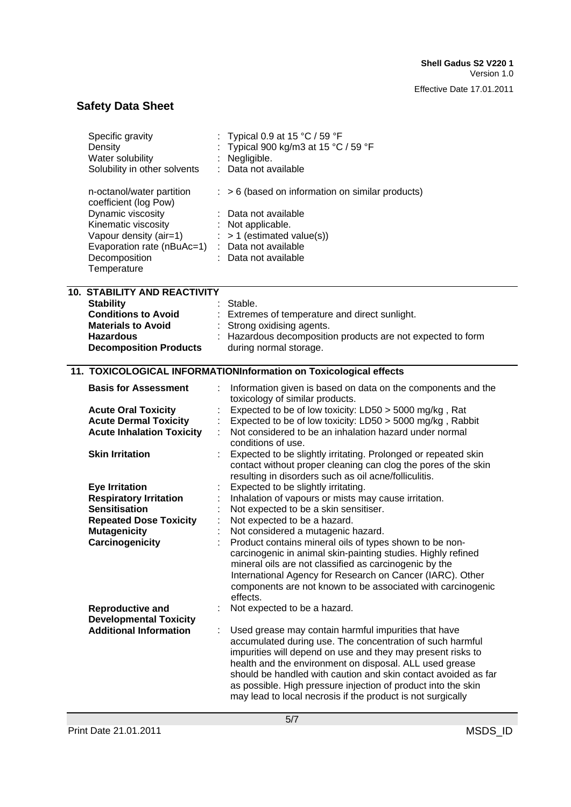| Specific gravity<br>Density<br>Water solubility<br>Solubility in other solvents | Typical 0.9 at 15 $\degree$ C / 59 $\degree$ F<br>Typical 900 kg/m3 at 15 °C / 59 °F<br>Negligible.<br>Data not available |
|---------------------------------------------------------------------------------|---------------------------------------------------------------------------------------------------------------------------|
| n-octanol/water partition<br>coefficient (log Pow)                              | $:$ > 6 (based on information on similar products)                                                                        |
| Dynamic viscosity                                                               | Data not available                                                                                                        |
| Kinematic viscosity                                                             | : Not applicable.                                                                                                         |
| Vapour density (air=1)                                                          | $:$ > 1 (estimated value(s))                                                                                              |
| Evaporation rate (nBuAc=1)<br>Decomposition                                     | : Data not available<br>: Data not available                                                                              |
| Temperature                                                                     |                                                                                                                           |
| <b>10. STABILITY AND REACTIVITY</b>                                             |                                                                                                                           |
| <b>Stability</b><br><b>Conditions to Avoid</b>                                  | Stable.<br>: Extremes of temperature and direct sunlight.                                                                 |
| <b>Materials to Avoid</b>                                                       | : Strong oxidising agents.                                                                                                |
| <b>Hazardous</b>                                                                | : Hazardous decomposition products are not expected to form                                                               |
| <b>Decomposition Products</b>                                                   | during normal storage.                                                                                                    |
|                                                                                 | 11. TOXICOLOGICAL INFORMATIONInformation on Toxicological effects                                                         |
| <b>Basis for Assessment</b>                                                     | Information given is based on data on the components and the<br>toxicology of similar products.                           |
| <b>Acute Oral Toxicity</b>                                                      | Expected to be of low toxicity: LD50 > 5000 mg/kg, Rat                                                                    |
| <b>Acute Dermal Toxicity</b>                                                    | Expected to be of low toxicity: LD50 > 5000 mg/kg, Rabbit                                                                 |
| <b>Acute Inhalation Toxicity</b>                                                | Not considered to be an inhalation hazard under normal<br>conditions of use.                                              |
| <b>Skin Irritation</b>                                                          | Expected to be slightly irritating. Prolonged or repeated skin                                                            |
|                                                                                 | contact without proper cleaning can clog the pores of the skin                                                            |
|                                                                                 | resulting in disorders such as oil acne/folliculitis.<br>Expected to be slightly irritating.                              |
| <b>Eye Irritation</b><br><b>Respiratory Irritation</b>                          | Inhalation of vapours or mists may cause irritation.                                                                      |
| <b>Sensitisation</b>                                                            | Not expected to be a skin sensitiser.                                                                                     |
| <b>Repeated Dose Toxicity</b>                                                   | Not expected to be a hazard.                                                                                              |
| <b>Mutagenicity</b>                                                             | Not considered a mutagenic hazard.                                                                                        |
| Carcinogenicity                                                                 | Product contains mineral oils of types shown to be non-                                                                   |
|                                                                                 | carcinogenic in animal skin-painting studies. Highly refined<br>mineral oils are not classified as carcinogenic by the    |
|                                                                                 | International Agency for Research on Cancer (IARC). Other                                                                 |
|                                                                                 | components are not known to be associated with carcinogenic                                                               |
|                                                                                 | effects.                                                                                                                  |
| <b>Reproductive and</b>                                                         | Not expected to be a hazard.                                                                                              |
| <b>Developmental Toxicity</b>                                                   |                                                                                                                           |
| <b>Additional Information</b>                                                   | Used grease may contain harmful impurities that have<br>accumulated during use. The concentration of such harmful         |
|                                                                                 | impurities will depend on use and they may present risks to                                                               |
|                                                                                 | health and the environment on disposal. ALL used grease                                                                   |
|                                                                                 | should be handled with caution and skin contact avoided as far                                                            |
|                                                                                 | as possible. High pressure injection of product into the skin                                                             |
|                                                                                 | may lead to local necrosis if the product is not surgically                                                               |
|                                                                                 |                                                                                                                           |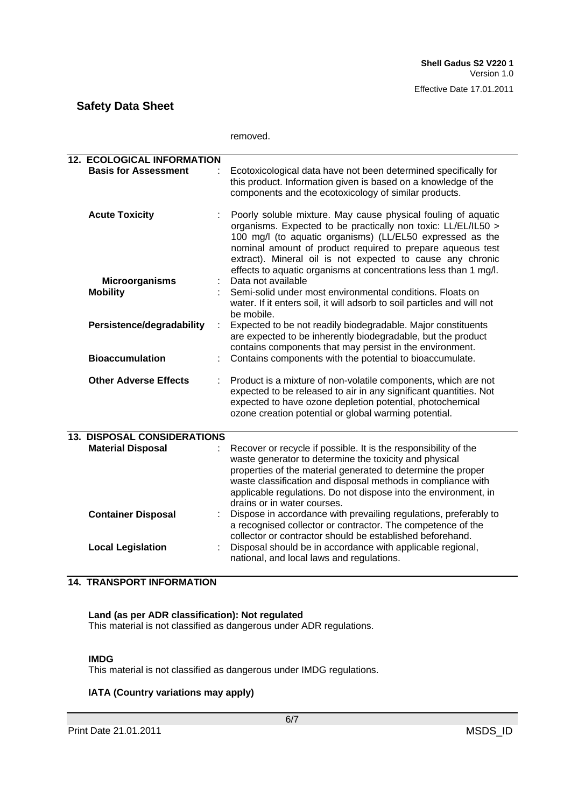|                                                                  | removed.                                                                                                                                                                                                                                                                                                                                                                                    |
|------------------------------------------------------------------|---------------------------------------------------------------------------------------------------------------------------------------------------------------------------------------------------------------------------------------------------------------------------------------------------------------------------------------------------------------------------------------------|
| <b>12. ECOLOGICAL INFORMATION</b><br><b>Basis for Assessment</b> | Ecotoxicological data have not been determined specifically for<br>this product. Information given is based on a knowledge of the<br>components and the ecotoxicology of similar products.                                                                                                                                                                                                  |
| <b>Acute Toxicity</b>                                            | Poorly soluble mixture. May cause physical fouling of aquatic<br>organisms. Expected to be practically non toxic: LL/EL/IL50 ><br>100 mg/l (to aquatic organisms) (LL/EL50 expressed as the<br>nominal amount of product required to prepare aqueous test<br>extract). Mineral oil is not expected to cause any chronic<br>effects to aquatic organisms at concentrations less than 1 mg/l. |
| <b>Microorganisms</b><br><b>Mobility</b>                         | Data not available<br>Semi-solid under most environmental conditions. Floats on<br>water. If it enters soil, it will adsorb to soil particles and will not<br>be mobile.                                                                                                                                                                                                                    |
| Persistence/degradability<br>÷                                   | Expected to be not readily biodegradable. Major constituents<br>are expected to be inherently biodegradable, but the product<br>contains components that may persist in the environment.                                                                                                                                                                                                    |
| <b>Bioaccumulation</b>                                           | Contains components with the potential to bioaccumulate.                                                                                                                                                                                                                                                                                                                                    |
| <b>Other Adverse Effects</b>                                     | Product is a mixture of non-volatile components, which are not<br>expected to be released to air in any significant quantities. Not<br>expected to have ozone depletion potential, photochemical<br>ozone creation potential or global warming potential.                                                                                                                                   |
| <b>13. DISPOSAL CONSIDERATIONS</b>                               |                                                                                                                                                                                                                                                                                                                                                                                             |
| <b>Material Disposal</b>                                         | Recover or recycle if possible. It is the responsibility of the<br>waste generator to determine the toxicity and physical<br>properties of the material generated to determine the proper<br>waste classification and disposal methods in compliance with<br>applicable regulations. Do not dispose into the environment, in<br>drains or in water courses.                                 |
| <b>Container Disposal</b>                                        | Dispose in accordance with prevailing regulations, preferably to<br>a recognised collector or contractor. The competence of the<br>collector or contractor should be established beforehand.                                                                                                                                                                                                |
| <b>Local Legislation</b>                                         | Disposal should be in accordance with applicable regional,<br>national, and local laws and regulations.                                                                                                                                                                                                                                                                                     |

### **14. TRANSPORT INFORMATION**

### **Land (as per ADR classification): Not regulated**

This material is not classified as dangerous under ADR regulations.

#### **IMDG**

This material is not classified as dangerous under IMDG regulations.

### **IATA (Country variations may apply)**